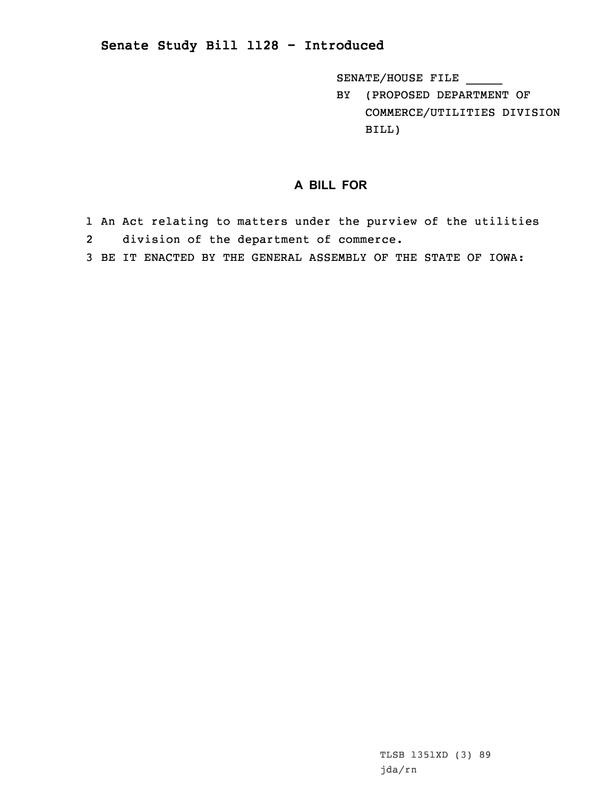## **Senate Study Bill 1128 - Introduced**

SENATE/HOUSE FILE \_\_\_\_\_

BY (PROPOSED DEPARTMENT OF COMMERCE/UTILITIES DIVISION BILL)

## **A BILL FOR**

- 1 An Act relating to matters under the purview of the utilities 2division of the department of commerce.
- 3 BE IT ENACTED BY THE GENERAL ASSEMBLY OF THE STATE OF IOWA: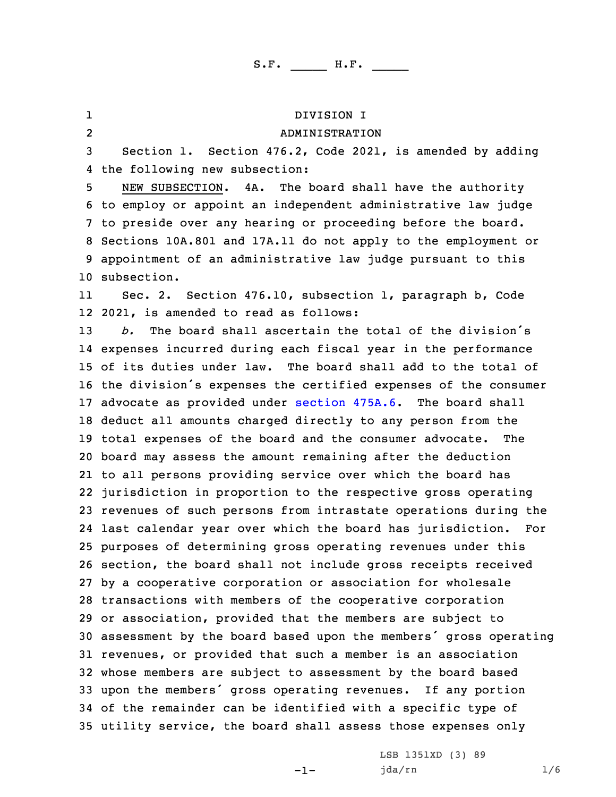1 DIVISION I 2 ADMINISTRATION Section 1. Section 476.2, Code 2021, is amended by adding the following new subsection: NEW SUBSECTION. 4A. The board shall have the authority to employ or appoint an independent administrative law judge to preside over any hearing or proceeding before the board. Sections 10A.801 and 17A.11 do not apply to the employment or appointment of an administrative law judge pursuant to this subsection. 11 Sec. 2. Section 476.10, subsection 1, paragraph b, Code 2021, is amended to read as follows: *b.* The board shall ascertain the total of the division's expenses incurred during each fiscal year in the performance of its duties under law. The board shall add to the total of the division's expenses the certified expenses of the consumer advocate as provided under [section](https://www.legis.iowa.gov/docs/code/2021/475A.6.pdf) 475A.6. The board shall deduct all amounts charged directly to any person from the total expenses of the board and the consumer advocate. The board may assess the amount remaining after the deduction to all persons providing service over which the board has jurisdiction in proportion to the respective gross operating revenues of such persons from intrastate operations during the last calendar year over which the board has jurisdiction. For purposes of determining gross operating revenues under this section, the board shall not include gross receipts received by <sup>a</sup> cooperative corporation or association for wholesale transactions with members of the cooperative corporation or association, provided that the members are subject to assessment by the board based upon the members' gross operating revenues, or provided that such <sup>a</sup> member is an association whose members are subject to assessment by the board based upon the members' gross operating revenues. If any portion of the remainder can be identified with <sup>a</sup> specific type of utility service, the board shall assess those expenses only

 $-1-$ 

LSB 1351XD (3) 89 jda/rn 1/6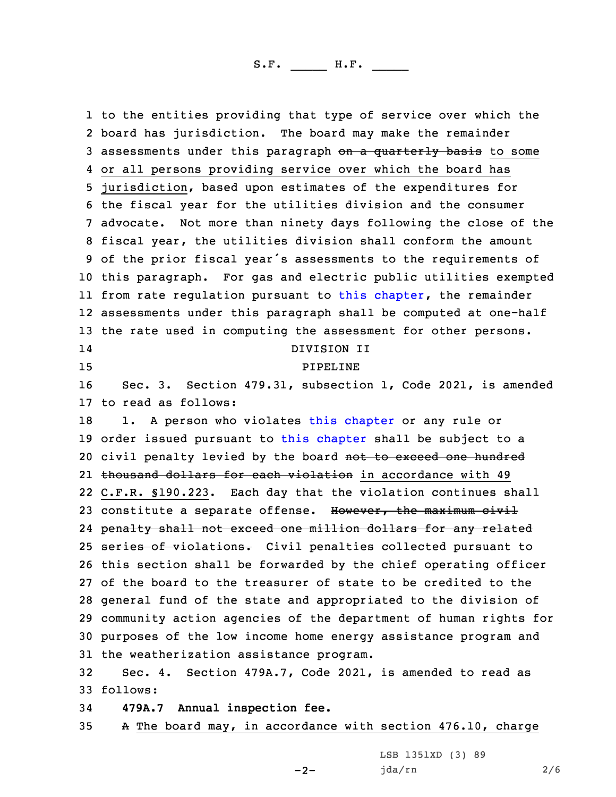to the entities providing that type of service over which the board has jurisdiction. The board may make the remainder 3 assessments under this paragraph on a quarterly basis to some or all persons providing service over which the board has jurisdiction, based upon estimates of the expenditures for the fiscal year for the utilities division and the consumer advocate. Not more than ninety days following the close of the fiscal year, the utilities division shall conform the amount of the prior fiscal year's assessments to the requirements of this paragraph. For gas and electric public utilities exempted from rate regulation pursuant to this [chapter](https://www.legis.iowa.gov/docs/code/2021/476.pdf), the remainder assessments under this paragraph shall be computed at one-half the rate used in computing the assessment for other persons. 14 DIVISION II 15 PIPELINE Sec. 3. Section 479.31, subsection 1, Code 2021, is amended to read as follows: 18 1. A person who violates this [chapter](https://www.legis.iowa.gov/docs/code/2021/479.pdf) or any rule or order issued pursuant to this [chapter](https://www.legis.iowa.gov/docs/code/2021/479.pdf) shall be subject to <sup>a</sup> 20 civil penalty levied by the board not to exceed one hundred 21 <del>thousand dollars for each violation</del> in accordance with 49 C.F.R. §190.223. Each day that the violation continues shall 23 constitute a separate offense. However, the maximum civil penalty shall not exceed one million dollars for any related 25 series of violations. Civil penalties collected pursuant to this section shall be forwarded by the chief operating officer of the board to the treasurer of state to be credited to the general fund of the state and appropriated to the division of community action agencies of the department of human rights for purposes of the low income home energy assistance program and the weatherization assistance program. Sec. 4. Section 479A.7, Code 2021, is amended to read as

33 follows:

34 **479A.7 Annual inspection fee.**

35 <sup>A</sup> The board may, in accordance with section 476.10, charge

-2-

LSB 1351XD (3) 89 jda/rn 2/6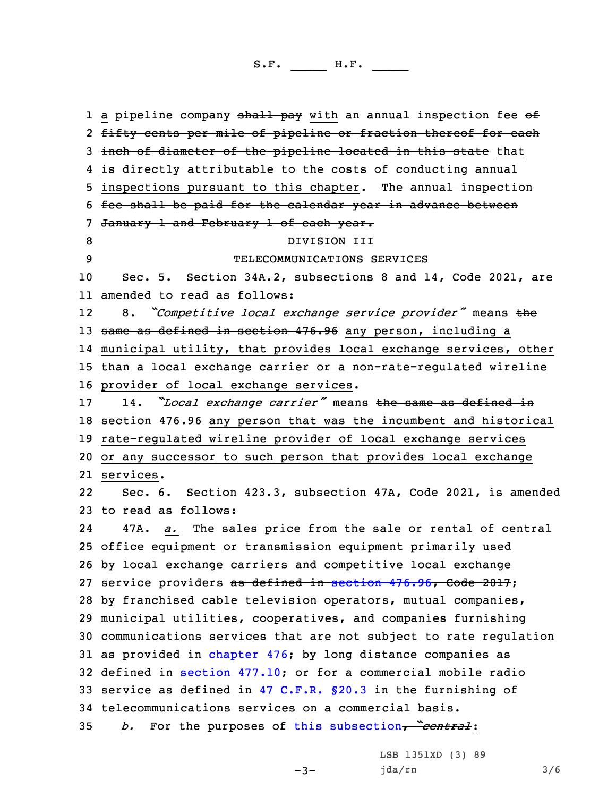1 a pipeline company <del>shall pay</del> with an annual inspection fee of 2 <del>fifty cents per mile of pipeline or fraction thereof for each</del> 3 inch of diameter of the pipeline located in this state that is directly attributable to the costs of conducting annual 5 inspections pursuant to this chapter. The annual inspection fee shall be paid for the calendar year in advance between 7 January 1 and February 1 of each year. 8 DIVISION III TELECOMMUNICATIONS SERVICES Sec. 5. Section 34A.2, subsections 8 and 14, Code 2021, are amended to read as follows: 12 8. *"Competitive local exchange service provider"* means the 13 same as defined in section 476.96 any person, including a municipal utility, that provides local exchange services, other than <sup>a</sup> local exchange carrier or <sup>a</sup> non-rate-regulated wireline provider of local exchange services. 14. *"Local exchange carrier"* means the same as defined in section 476.96 any person that was the incumbent and historical rate-regulated wireline provider of local exchange services or any successor to such person that provides local exchange services. 22 Sec. 6. Section 423.3, subsection 47A, Code 2021, is amended to read as follows: 24 47A. *a.* The sales price from the sale or rental of central office equipment or transmission equipment primarily used by local exchange carriers and competitive local exchange 27 service providers as defined in section [476.96](https://www.legis.iowa.gov/docs/code/2017/476.96.pdf), Code 2017; by franchised cable television operators, mutual companies, municipal utilities, cooperatives, and companies furnishing communications services that are not subject to rate regulation as provided in [chapter](https://www.legis.iowa.gov/docs/code/2021/476.pdf) 476; by long distance companies as defined in section [477.10](https://www.legis.iowa.gov/docs/code/2021/477.10.pdf); or for <sup>a</sup> commercial mobile radio service as defined in 47 [C.F.R.](https://www.law.cornell.edu/cfr/text/47/20.3) §20.3 in the furnishing of telecommunications services on <sup>a</sup> commercial basis. *b.* For the purposes of this [subsection](https://www.legis.iowa.gov/docs/code/2021/423.3.pdf), *"central*:

-3-

LSB 1351XD (3) 89 jda/rn 3/6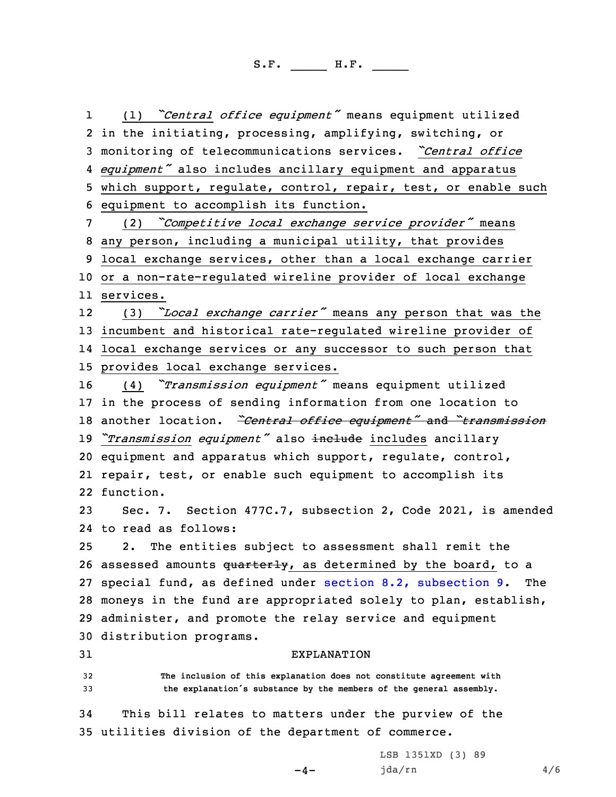1 (1) *"Central office equipment"* means equipment utilized in the initiating, processing, amplifying, switching, or monitoring of telecommunications services. *"Central office equipment"* also includes ancillary equipment and apparatus which support, regulate, control, repair, test, or enable such equipment to accomplish its function. (2) *"Competitive local exchange service provider"* means any person, including <sup>a</sup> municipal utility, that provides local exchange services, other than <sup>a</sup> local exchange carrier or <sup>a</sup> non-rate-regulated wireline provider of local exchange services. 12 (3) *"Local exchange carrier"* means any person that was the incumbent and historical rate-regulated wireline provider of local exchange services or any successor to such person that provides local exchange services. (4) *"Transmission equipment"* means equipment utilized in the process of sending information from one location to another location. *"Central office equipment"* and *"transmission "Transmission equipment"* also include includes ancillary equipment and apparatus which support, regulate, control, repair, test, or enable such equipment to accomplish its function. Sec. 7. Section 477C.7, subsection 2, Code 2021, is amended to read as follows: 2. The entities subject to assessment shall remit the 26 assessed amounts quarterly, as determined by the board, to a special fund, as defined under section 8.2, [subsection](https://www.legis.iowa.gov/docs/code/2021/8.2.pdf) 9. The moneys in the fund are appropriated solely to plan, establish, administer, and promote the relay service and equipment distribution programs. EXPLANATION **The inclusion of this explanation does not constitute agreement with the explanation's substance by the members of the general assembly.** This bill relates to matters under the purview of the utilities division of the department of commerce.

 $-4-$ 

LSB 1351XD (3) 89 jda/rn 4/6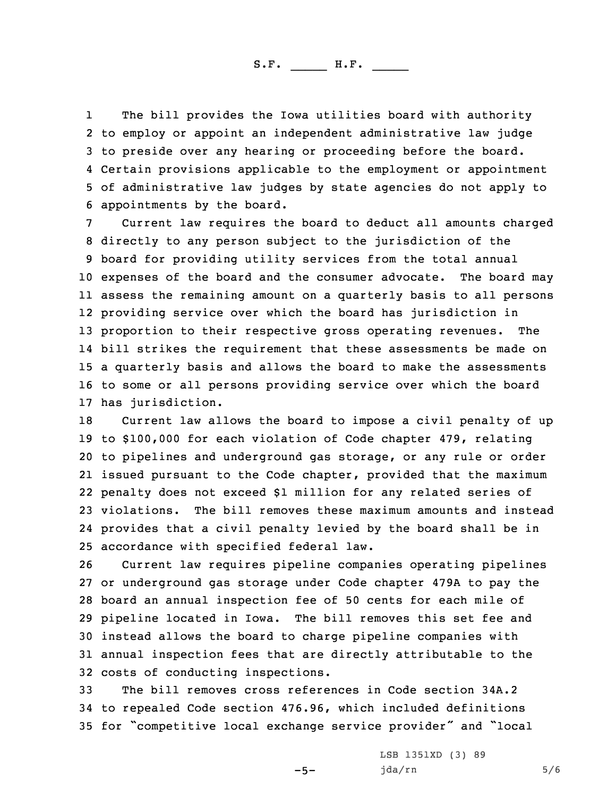1 The bill provides the Iowa utilities board with authority to employ or appoint an independent administrative law judge to preside over any hearing or proceeding before the board. Certain provisions applicable to the employment or appointment of administrative law judges by state agencies do not apply to appointments by the board.

 Current law requires the board to deduct all amounts charged directly to any person subject to the jurisdiction of the board for providing utility services from the total annual expenses of the board and the consumer advocate. The board may assess the remaining amount on <sup>a</sup> quarterly basis to all persons providing service over which the board has jurisdiction in proportion to their respective gross operating revenues. The bill strikes the requirement that these assessments be made on <sup>a</sup> quarterly basis and allows the board to make the assessments to some or all persons providing service over which the board has jurisdiction.

 Current law allows the board to impose <sup>a</sup> civil penalty of up to \$100,000 for each violation of Code chapter 479, relating to pipelines and underground gas storage, or any rule or order issued pursuant to the Code chapter, provided that the maximum penalty does not exceed \$1 million for any related series of violations. The bill removes these maximum amounts and instead provides that <sup>a</sup> civil penalty levied by the board shall be in accordance with specified federal law.

 Current law requires pipeline companies operating pipelines or underground gas storage under Code chapter 479A to pay the board an annual inspection fee of 50 cents for each mile of pipeline located in Iowa. The bill removes this set fee and instead allows the board to charge pipeline companies with annual inspection fees that are directly attributable to the costs of conducting inspections.

33 The bill removes cross references in Code section 34A.2 34 to repealed Code section 476.96, which included definitions <sup>35</sup> for "competitive local exchange service provider" and "local

 $-5-$ 

LSB 1351XD (3) 89  $jda/rn$  5/6